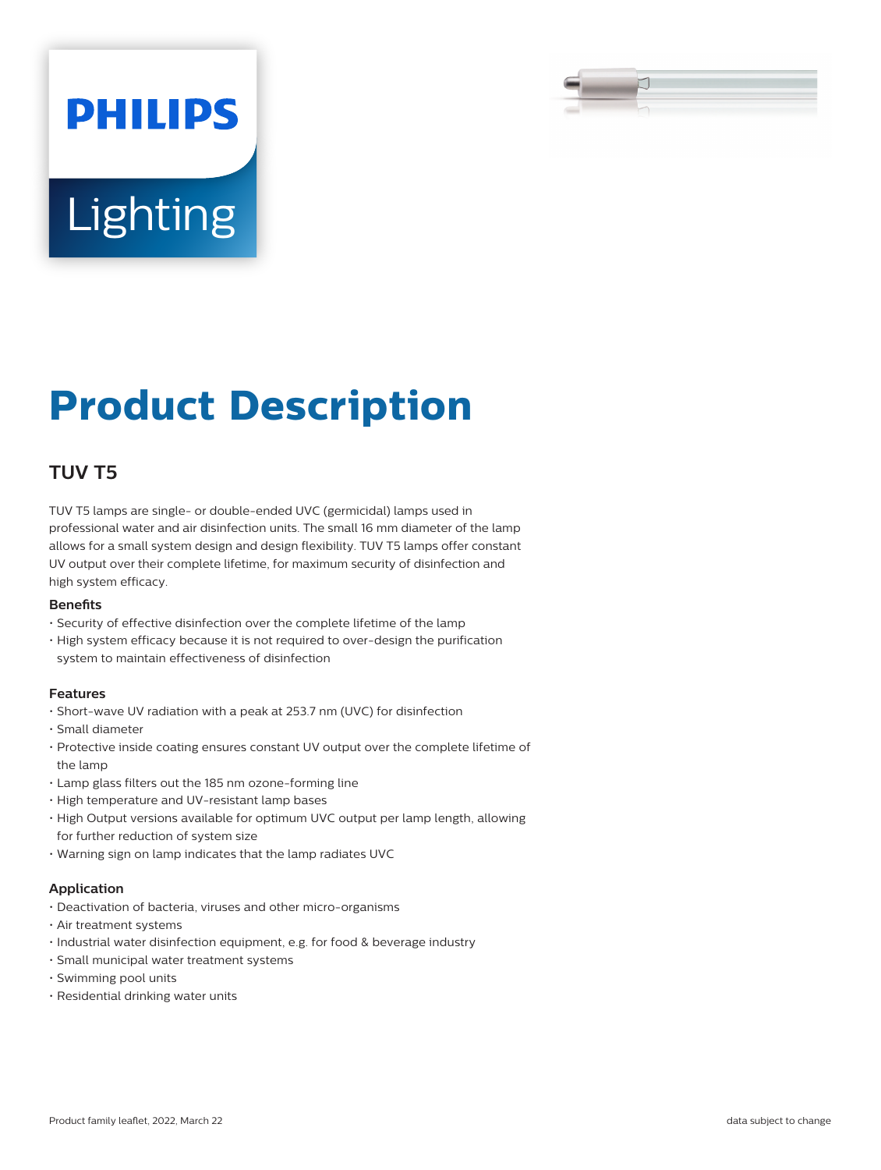

# **Lighting**

**PHILIPS** 

# **Product Description**

# **TUV T5**

TUV T5 lamps are single- or double-ended UVC (germicidal) lamps used in professional water and air disinfection units. The small 16 mm diameter of the lamp allows for a small system design and design flexibility. TUV T5 lamps offer constant UV output over their complete lifetime, for maximum security of disinfection and high system efficacy.

#### **Benefits**

- Security of effective disinfection over the complete lifetime of the lamp
- High system efficacy because it is not required to over-design the purification system to maintain effectiveness of disinfection

#### **Features**

- Short-wave UV radiation with a peak at 253.7 nm (UVC) for disinfection
- Small diameter
- Protective inside coating ensures constant UV output over the complete lifetime of the lamp
- Lamp glass filters out the 185 nm ozone-forming line
- High temperature and UV-resistant lamp bases
- High Output versions available for optimum UVC output per lamp length, allowing for further reduction of system size
- Warning sign on lamp indicates that the lamp radiates UVC

#### **Application**

- Deactivation of bacteria, viruses and other micro-organisms
- Air treatment systems
- Industrial water disinfection equipment, e.g. for food & beverage industry
- Small municipal water treatment systems
- Swimming pool units
- Residential drinking water units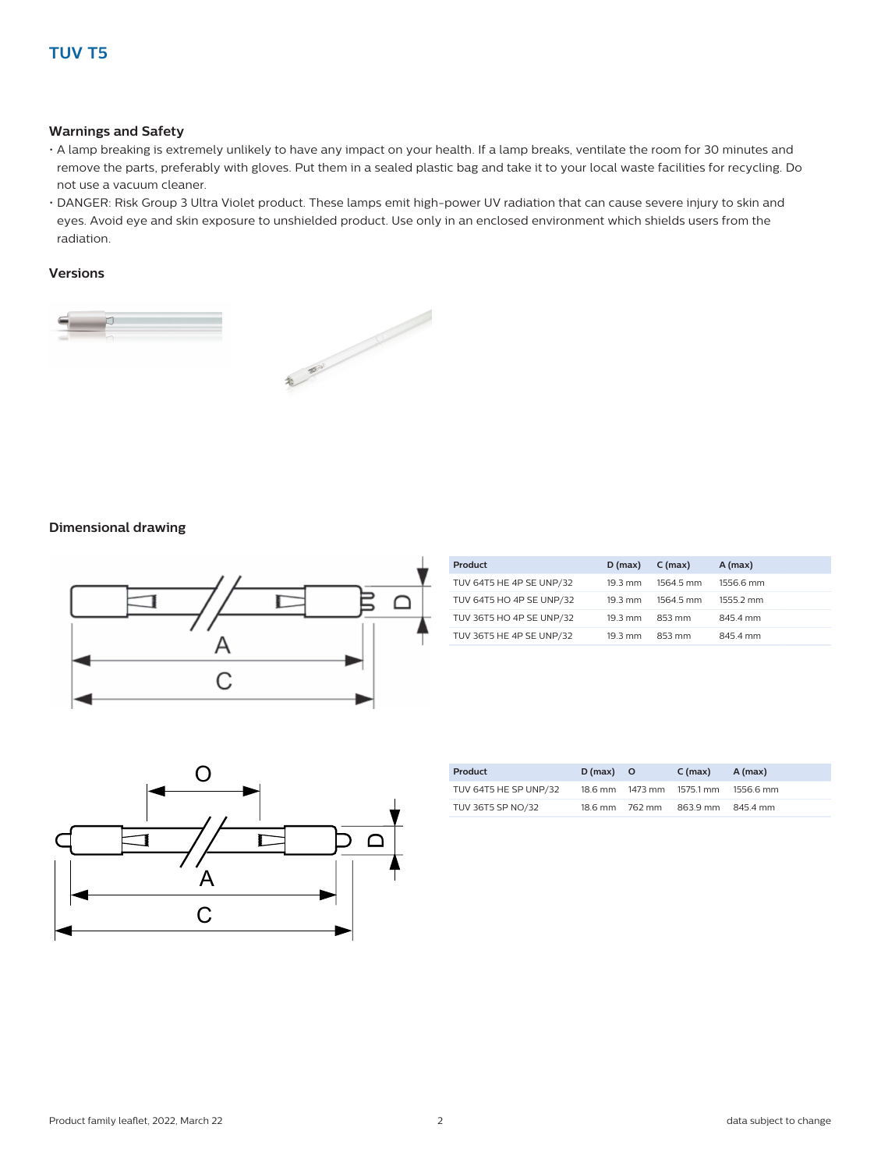#### **Warnings and Safety**

- A lamp breaking is extremely unlikely to have any impact on your health. If a lamp breaks, ventilate the room for 30 minutes and remove the parts, preferably with gloves. Put them in a sealed plastic bag and take it to your local waste facilities for recycling. Do not use a vacuum cleaner.
- DANGER: Risk Group 3 Ultra Violet product. These lamps emit high-power UV radiation that can cause severe injury to skin and eyes. Avoid eye and skin exposure to unshielded product. Use only in an enclosed environment which shields users from the radiation.

#### **Versions**



#### **Dimensional drawing**



| Product                  | $D$ (max)         | $C$ (max) | $A$ (max) |
|--------------------------|-------------------|-----------|-----------|
| TUV 64T5 HE 4P SE UNP/32 | $19.3 \text{ mm}$ | 1564.5 mm | 1556.6 mm |
| TUV 64T5 HO 4P SE UNP/32 | $19.3 \text{ mm}$ | 1564.5 mm | 1555.2 mm |
| TUV 36T5 HO 4P SE UNP/32 | 19.3 mm           | 853 mm    | 845.4 mm  |
| TUV 36T5 HE 4P SE UNP/32 | $19.3 \text{ mm}$ | 853 mm    | 845.4 mm  |



| Product               | $D(max)$ O     | $C$ (max)                 | A (max)   |
|-----------------------|----------------|---------------------------|-----------|
| TUV 64T5 HE SP UNP/32 |                | 18.6 mm 1473 mm 1575.1 mm | 1556.6 mm |
| TUV 36T5 SP NO/32     | 18.6 mm 762 mm | 863.9 mm 845.4 mm         |           |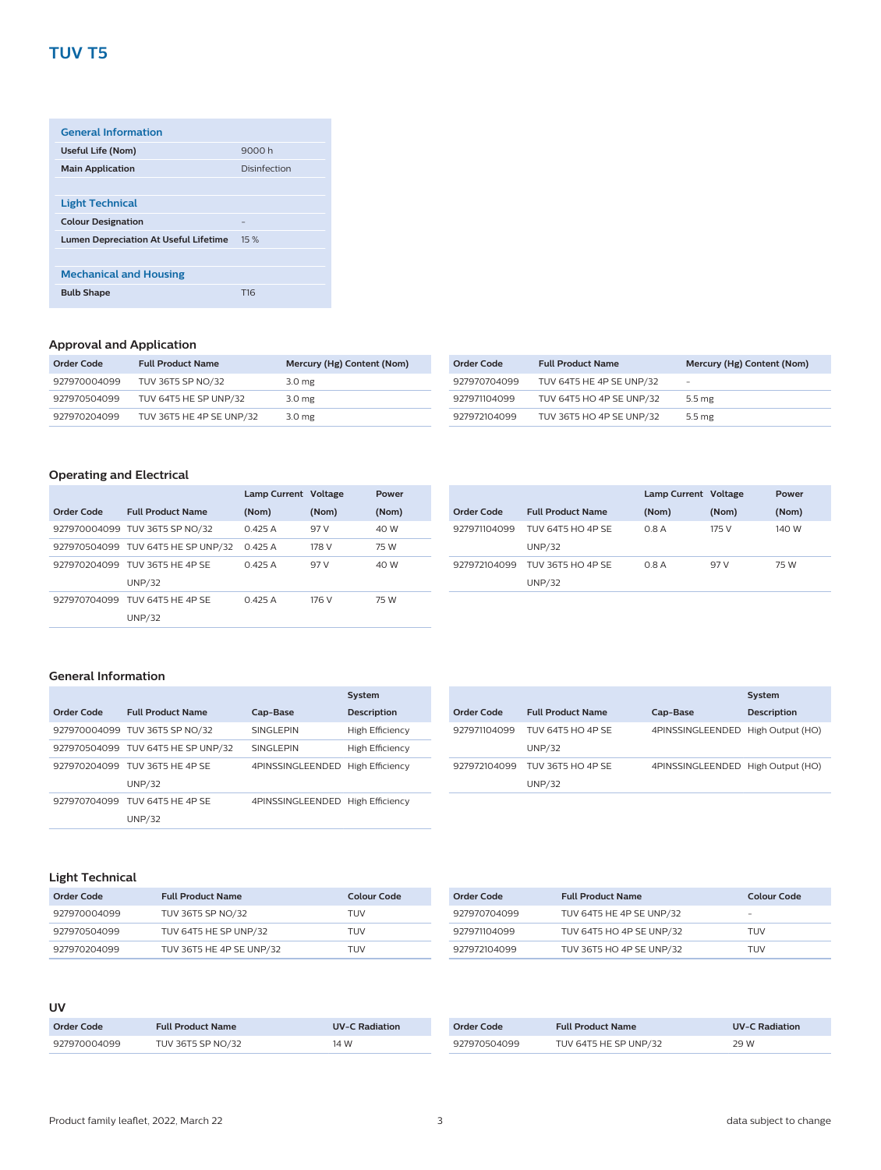## **TUV T5**

| <b>General Information</b>                   |                 |
|----------------------------------------------|-----------------|
| Useful Life (Nom)                            | 9000 h          |
| <b>Main Application</b>                      | Disinfection    |
|                                              |                 |
| <b>Light Technical</b>                       |                 |
| <b>Colour Designation</b>                    |                 |
| <b>Lumen Depreciation At Useful Lifetime</b> | 15 %            |
|                                              |                 |
| <b>Mechanical and Housing</b>                |                 |
| <b>Bulb Shape</b>                            | T <sub>16</sub> |
|                                              |                 |

#### **Approval and Application**

| Order Code   | <b>Full Product Name</b> | Mercury (Hg) Content (Nom) |
|--------------|--------------------------|----------------------------|
| 927970004099 | TUV 36T5 SP NO/32        | 3.0 <sub>mg</sub>          |
| 927970504099 | TUV 64T5 HE SP UNP/32    | 3.0 mg                     |
| 927970204099 | TUV 36T5 HE 4P SE UNP/32 | 3.0 <sub>mg</sub>          |

| Order Code   | <b>Full Product Name</b> | Mercury (Hg) Content (Nom) |
|--------------|--------------------------|----------------------------|
| 927970704099 | TUV 64T5 HE 4P SE UNP/32 | $\overline{\phantom{a}}$   |
| 927971104099 | TUV 64T5 HO 4P SE UNP/32 | $5.5 \text{ me}$           |
| 927972104099 | TUV 36T5 HO 4P SE UNP/32 | $5.5 \text{ me}$           |

#### **Operating and Electrical**

|            |                                    | Lamp Current Voltage |       | Power |
|------------|------------------------------------|----------------------|-------|-------|
| Order Code | <b>Full Product Name</b>           | (Nom)                | (Nom) | (Nom) |
|            | 927970004099 TUV 36T5 SP NO/32     | 0.425A               | 97 V  | 40 W  |
|            | 927970504099 TUV 64T5 HE SP UNP/32 | 0.425A               | 178 V | 75 W  |
|            | 927970204099 TUV 36T5 HE 4P SE     | 0.425A               | 97 V  | 40 W  |
|            | <b>UNP/32</b>                      |                      |       |       |
|            | 927970704099 TUV 64T5 HE 4P SE     | 0.425A               | 176 V | 75 W  |
|            | <b>UNP/32</b>                      |                      |       |       |

|              |                                    | Lamp Current Voltage |       | Power |
|--------------|------------------------------------|----------------------|-------|-------|
| Order Code   | <b>Full Product Name</b>           | (Nom)                | (Nom) | (Nom) |
| 927971104099 | TUV 64T5 HO 4P SE<br><b>UNP/32</b> | 0.8A                 | 175 V | 140 W |
| 927972104099 | TUV 36T5 HO 4P SE<br><b>UNP/32</b> | 0.8A                 | 97 V  | 75 W  |

#### **General Information**

|            |                                    |                                  | System             |
|------------|------------------------------------|----------------------------------|--------------------|
| Order Code | <b>Full Product Name</b>           | Cap-Base                         | <b>Description</b> |
|            | 927970004099 TUV 36T5 SP NO/32     | <b>SINGLEPIN</b>                 | High Efficiency    |
|            | 927970504099 TUV 64T5 HE SP UNP/32 | <b>SINGLEPIN</b>                 | High Efficiency    |
|            | 927970204099 TUV 36T5 HE 4P SE     | 4PINSSINGLEENDED High Efficiency |                    |
|            | <b>UNP/32</b>                      |                                  |                    |
|            | 927970704099 TLIV 64T5 HF 4P SF    | 4PINSSINGLEENDED High Efficiency |                    |
|            | <b>UNP/32</b>                      |                                  |                    |
|            |                                    |                                  |                    |

|              |                                           |                                   | System             |
|--------------|-------------------------------------------|-----------------------------------|--------------------|
| Order Code   | <b>Full Product Name</b>                  | Cap-Base                          | <b>Description</b> |
| 927971104099 | <b>TUV 64T5 HO 4P SE</b><br><b>UNP/32</b> | 4PINSSINGLEENDED High Output (HO) |                    |
| 927972104099 | <b>TUV 36T5 HO 4P SE</b><br><b>UNP/32</b> | 4PINSSINGLEENDED High Output (HO) |                    |

#### **Light Technical**

| Order Code   | <b>Full Product Name</b> | Colour Code |
|--------------|--------------------------|-------------|
| 927970004099 | TUV 36T5 SP NO/32        | TUV         |
| 927970504099 | TUV 64T5 HE SP UNP/32    | TUV         |
| 927970204099 | TUV 36T5 HE 4P SE UNP/32 | TUV         |

| Order Code   | <b>Full Product Name</b> | Colour Code |
|--------------|--------------------------|-------------|
| 927970704099 | TUV 64T5 HE 4P SE UNP/32 | -           |
| 927971104099 | TUV 64T5 HO 4P SE UNP/32 | TUV         |
| 927972104099 | TUV 36T5 HO 4P SE UNP/32 | TUV         |

#### **UV**

| Order Code   | <b>Full Product Name</b> | <b>UV-C Radiation</b> |
|--------------|--------------------------|-----------------------|
| 927970004099 | TUV 36T5 SP NO/32        | 14 W                  |

| Order Code   | <b>Full Product Name</b> | <b>UV-C Radiation</b> |
|--------------|--------------------------|-----------------------|
| 927970504099 | TUV 64T5 HE SP UNP/32    | 29 W                  |